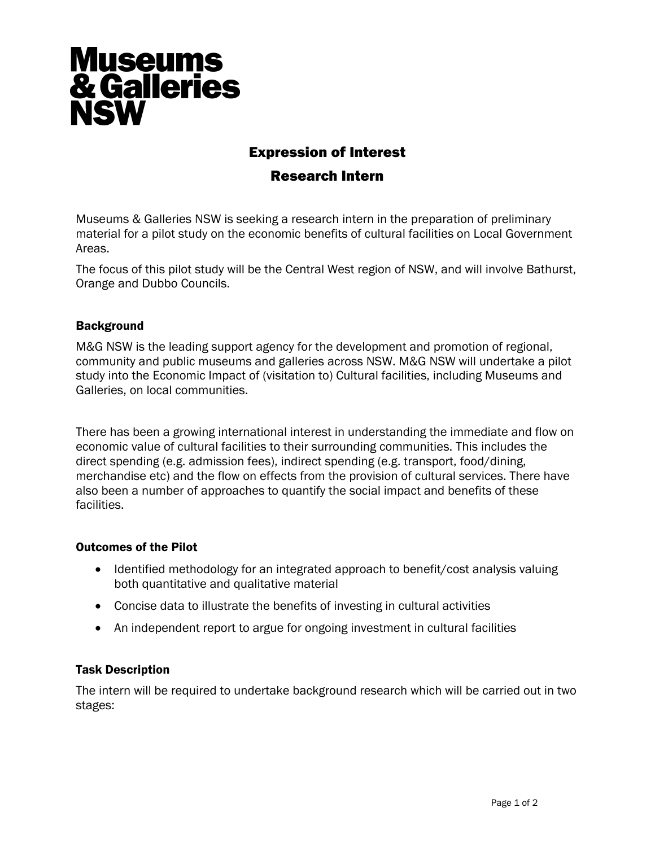# **Museums<br>& Galleries NSW**

## Expression of Interest

### Research Intern

Museums & Galleries NSW is seeking a research intern in the preparation of preliminary material for a pilot study on the economic benefits of cultural facilities on Local Government Areas.

The focus of this pilot study will be the Central West region of NSW, and will involve Bathurst, Orange and Dubbo Councils.

#### **Background**

M&G NSW is the leading support agency for the development and promotion of regional, community and public museums and galleries across NSW. M&G NSW will undertake a pilot study into the Economic Impact of (visitation to) Cultural facilities, including Museums and Galleries, on local communities.

There has been a growing international interest in understanding the immediate and flow on economic value of cultural facilities to their surrounding communities. This includes the direct spending (e.g. admission fees), indirect spending (e.g. transport, food/dining, merchandise etc) and the flow on effects from the provision of cultural services. There have also been a number of approaches to quantify the social impact and benefits of these facilities.

#### Outcomes of the Pilot

- Identified methodology for an integrated approach to benefit/cost analysis valuing both quantitative and qualitative material
- Concise data to illustrate the benefits of investing in cultural activities
- An independent report to argue for ongoing investment in cultural facilities

#### Task Description

The intern will be required to undertake background research which will be carried out in two stages: